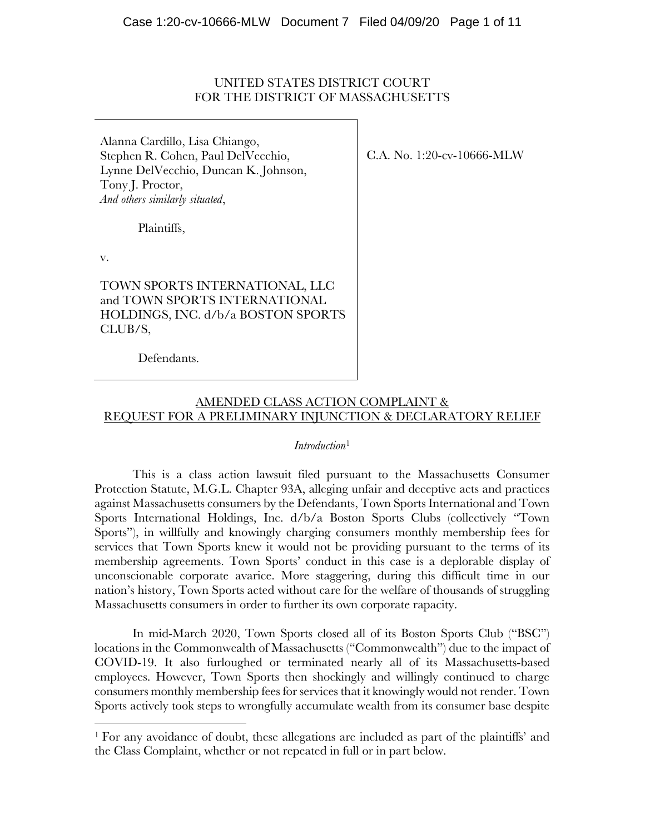#### UNITED STATES DISTRICT COURT FOR THE DISTRICT OF MASSACHUSETTS

Alanna Cardillo, Lisa Chiango, Stephen R. Cohen, Paul DelVecchio, Lynne DelVecchio, Duncan K. Johnson, Tony J. Proctor, *And others similarly situated*,

Plaintiffs,

v.

 $\overline{a}$ 

TOWN SPORTS INTERNATIONAL, LLC and TOWN SPORTS INTERNATIONAL HOLDINGS, INC. d/b/a BOSTON SPORTS CLUB/S,

Defendants.

C.A. No. 1:20-cv-10666-MLW

# AMENDED CLASS ACTION COMPLAINT & REQUEST FOR A PRELIMINARY INJUNCTION & DECLARATORY RELIEF

#### *Introduction*<sup>1</sup>

This is a class action lawsuit filed pursuant to the Massachusetts Consumer Protection Statute, M.G.L. Chapter 93A, alleging unfair and deceptive acts and practices against Massachusetts consumers by the Defendants, Town Sports International and Town Sports International Holdings, Inc. d/b/a Boston Sports Clubs (collectively "Town Sports"), in willfully and knowingly charging consumers monthly membership fees for services that Town Sports knew it would not be providing pursuant to the terms of its membership agreements. Town Sports' conduct in this case is a deplorable display of unconscionable corporate avarice. More staggering, during this difficult time in our nation's history, Town Sports acted without care for the welfare of thousands of struggling Massachusetts consumers in order to further its own corporate rapacity.

In mid-March 2020, Town Sports closed all of its Boston Sports Club ("BSC") locations in the Commonwealth of Massachusetts ("Commonwealth") due to the impact of COVID-19. It also furloughed or terminated nearly all of its Massachusetts-based employees. However, Town Sports then shockingly and willingly continued to charge consumers monthly membership fees for services that it knowingly would not render. Town Sports actively took steps to wrongfully accumulate wealth from its consumer base despite

<sup>1</sup> For any avoidance of doubt, these allegations are included as part of the plaintiffs' and the Class Complaint, whether or not repeated in full or in part below.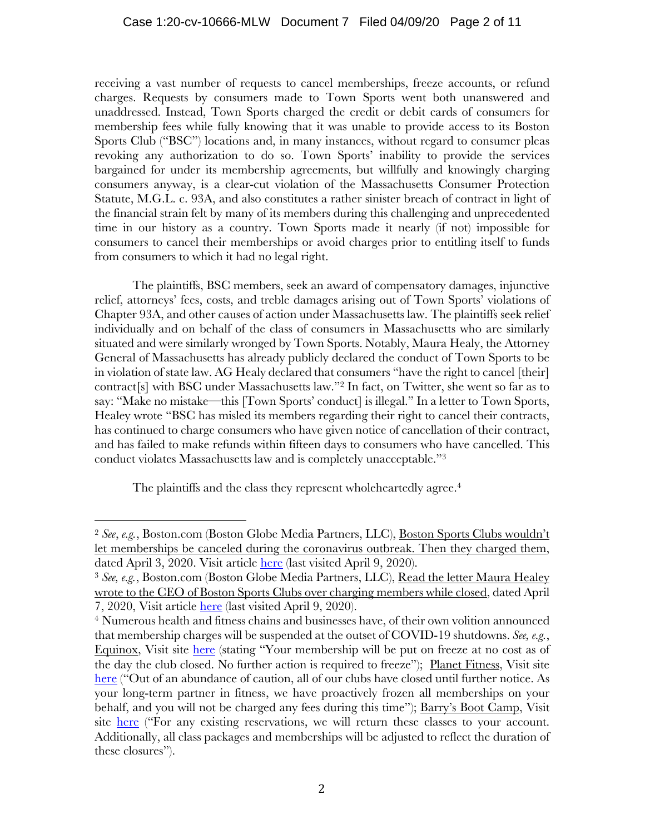### Case 1:20-cv-10666-MLW Document 7 Filed 04/09/20 Page 2 of 11

receiving a vast number of requests to cancel memberships, freeze accounts, or refund charges. Requests by consumers made to Town Sports went both unanswered and unaddressed. Instead, Town Sports charged the credit or debit cards of consumers for membership fees while fully knowing that it was unable to provide access to its Boston Sports Club ("BSC") locations and, in many instances, without regard to consumer pleas revoking any authorization to do so. Town Sports' inability to provide the services bargained for under its membership agreements, but willfully and knowingly charging consumers anyway, is a clear-cut violation of the Massachusetts Consumer Protection Statute, M.G.L. c. 93A, and also constitutes a rather sinister breach of contract in light of the financial strain felt by many of its members during this challenging and unprecedented time in our history as a country. Town Sports made it nearly (if not) impossible for consumers to cancel their memberships or avoid charges prior to entitling itself to funds from consumers to which it had no legal right.

The plaintiffs, BSC members, seek an award of compensatory damages, injunctive relief, attorneys' fees, costs, and treble damages arising out of Town Sports' violations of Chapter 93A, and other causes of action under Massachusetts law. The plaintiffs seek relief individually and on behalf of the class of consumers in Massachusetts who are similarly situated and were similarly wronged by Town Sports. Notably, Maura Healy, the Attorney General of Massachusetts has already publicly declared the conduct of Town Sports to be in violation of state law. AG Healy declared that consumers "have the right to cancel [their] contract[s] with BSC under Massachusetts law."2 In fact, on Twitter, she went so far as to say: "Make no mistake—this [Town Sports' conduct] is illegal." In a letter to Town Sports, Healey wrote "BSC has misled its members regarding their right to cancel their contracts, has continued to charge consumers who have given notice of cancellation of their contract, and has failed to make refunds within fifteen days to consumers who have cancelled. This conduct violates Massachusetts law and is completely unacceptable."3

The plaintiffs and the class they represent wholeheartedly agree.<sup>4</sup>

 $\overline{a}$ 

<sup>2</sup> *See*, *e.g.*, Boston.com (Boston Globe Media Partners, LLC), Boston Sports Clubs wouldn't let memberships be canceled during the coronavirus outbreak. Then they charged them, dated April 3, 2020. Visit article here (last visited April 9, 2020).

<sup>3</sup> *See, e.g.*, Boston.com (Boston Globe Media Partners, LLC), Read the letter Maura Healey wrote to the CEO of Boston Sports Clubs over charging members while closed, dated April 7, 2020, Visit article here (last visited April 9, 2020).

<sup>4</sup> Numerous health and fitness chains and businesses have, of their own volition announced that membership charges will be suspended at the outset of COVID-19 shutdowns. *See, e.g.*, Equinox, Visit site here (stating "Your membership will be put on freeze at no cost as of the day the club closed. No further action is required to freeze"); Planet Fitness, Visit site here ("Out of an abundance of caution, all of our clubs have closed until further notice. As your long-term partner in fitness, we have proactively frozen all memberships on your behalf, and you will not be charged any fees during this time"); Barry's Boot Camp, Visit site here ("For any existing reservations, we will return these classes to your account. Additionally, all class packages and memberships will be adjusted to reflect the duration of these closures").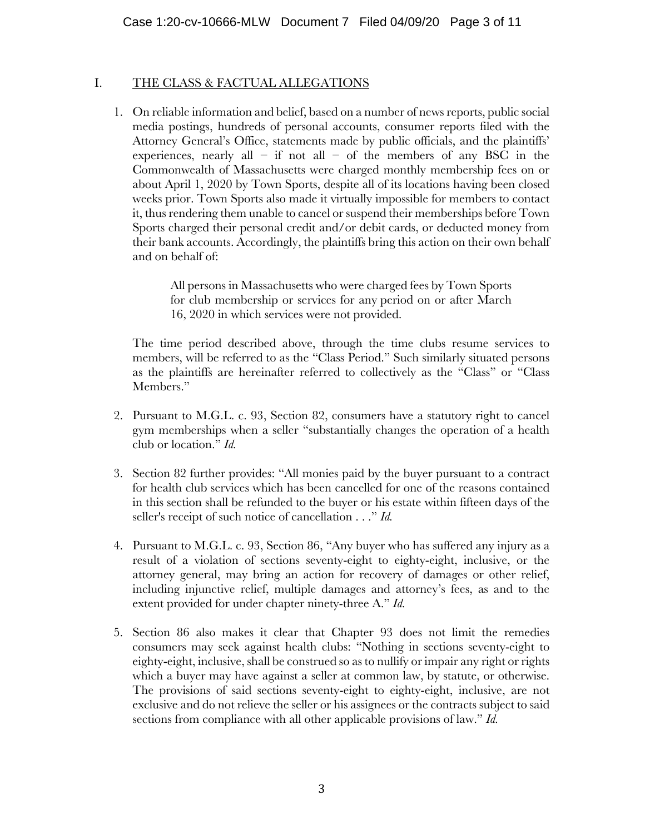### I. THE CLASS & FACTUAL ALLEGATIONS

1. On reliable information and belief, based on a number of news reports, public social media postings, hundreds of personal accounts, consumer reports filed with the Attorney General's Office, statements made by public officials, and the plaintiffs' experiences, nearly all – if not all – of the members of any BSC in the Commonwealth of Massachusetts were charged monthly membership fees on or about April 1, 2020 by Town Sports, despite all of its locations having been closed weeks prior. Town Sports also made it virtually impossible for members to contact it, thus rendering them unable to cancel or suspend their memberships before Town Sports charged their personal credit and/or debit cards, or deducted money from their bank accounts. Accordingly, the plaintiffs bring this action on their own behalf and on behalf of:

> All persons in Massachusetts who were charged fees by Town Sports for club membership or services for any period on or after March 16, 2020 in which services were not provided.

The time period described above, through the time clubs resume services to members, will be referred to as the "Class Period." Such similarly situated persons as the plaintiffs are hereinafter referred to collectively as the "Class" or "Class Members."

- 2. Pursuant to M.G.L. c. 93, Section 82, consumers have a statutory right to cancel gym memberships when a seller "substantially changes the operation of a health club or location." *Id.*
- 3. Section 82 further provides: "All monies paid by the buyer pursuant to a contract for health club services which has been cancelled for one of the reasons contained in this section shall be refunded to the buyer or his estate within fifteen days of the seller's receipt of such notice of cancellation . . ." *Id.*
- 4. Pursuant to M.G.L. c. 93, Section 86, "Any buyer who has suffered any injury as a result of a violation of sections seventy-eight to eighty-eight, inclusive, or the attorney general, may bring an action for recovery of damages or other relief, including injunctive relief, multiple damages and attorney's fees, as and to the extent provided for under chapter ninety-three A." *Id.*
- 5. Section 86 also makes it clear that Chapter 93 does not limit the remedies consumers may seek against health clubs: "Nothing in sections seventy-eight to eighty-eight, inclusive, shall be construed so as to nullify or impair any right or rights which a buyer may have against a seller at common law, by statute, or otherwise. The provisions of said sections seventy-eight to eighty-eight, inclusive, are not exclusive and do not relieve the seller or his assignees or the contracts subject to said sections from compliance with all other applicable provisions of law." *Id.*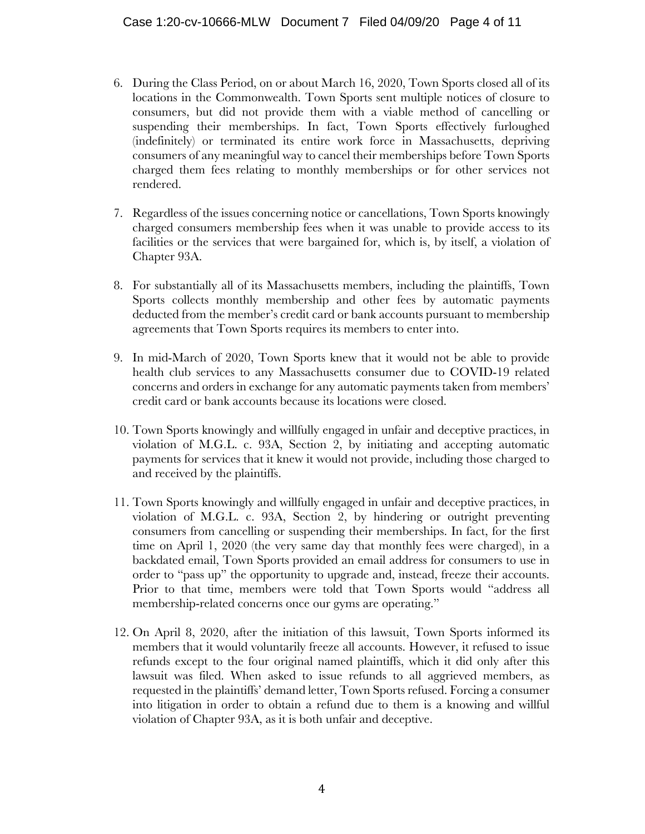- 6. During the Class Period, on or about March 16, 2020, Town Sports closed all of its locations in the Commonwealth. Town Sports sent multiple notices of closure to consumers, but did not provide them with a viable method of cancelling or suspending their memberships. In fact, Town Sports effectively furloughed (indefinitely) or terminated its entire work force in Massachusetts, depriving consumers of any meaningful way to cancel their memberships before Town Sports charged them fees relating to monthly memberships or for other services not rendered.
- 7. Regardless of the issues concerning notice or cancellations, Town Sports knowingly charged consumers membership fees when it was unable to provide access to its facilities or the services that were bargained for, which is, by itself, a violation of Chapter 93A.
- 8. For substantially all of its Massachusetts members, including the plaintiffs, Town Sports collects monthly membership and other fees by automatic payments deducted from the member's credit card or bank accounts pursuant to membership agreements that Town Sports requires its members to enter into.
- 9. In mid-March of 2020, Town Sports knew that it would not be able to provide health club services to any Massachusetts consumer due to COVID-19 related concerns and orders in exchange for any automatic payments taken from members' credit card or bank accounts because its locations were closed.
- 10. Town Sports knowingly and willfully engaged in unfair and deceptive practices, in violation of M.G.L. c. 93A, Section 2, by initiating and accepting automatic payments for services that it knew it would not provide, including those charged to and received by the plaintiffs.
- 11. Town Sports knowingly and willfully engaged in unfair and deceptive practices, in violation of M.G.L. c. 93A, Section 2, by hindering or outright preventing consumers from cancelling or suspending their memberships. In fact, for the first time on April 1, 2020 (the very same day that monthly fees were charged), in a backdated email, Town Sports provided an email address for consumers to use in order to "pass up" the opportunity to upgrade and, instead, freeze their accounts. Prior to that time, members were told that Town Sports would "address all membership-related concerns once our gyms are operating."
- 12. On April 8, 2020, after the initiation of this lawsuit, Town Sports informed its members that it would voluntarily freeze all accounts. However, it refused to issue refunds except to the four original named plaintiffs, which it did only after this lawsuit was filed. When asked to issue refunds to all aggrieved members, as requested in the plaintiffs' demand letter, Town Sports refused. Forcing a consumer into litigation in order to obtain a refund due to them is a knowing and willful violation of Chapter 93A, as it is both unfair and deceptive.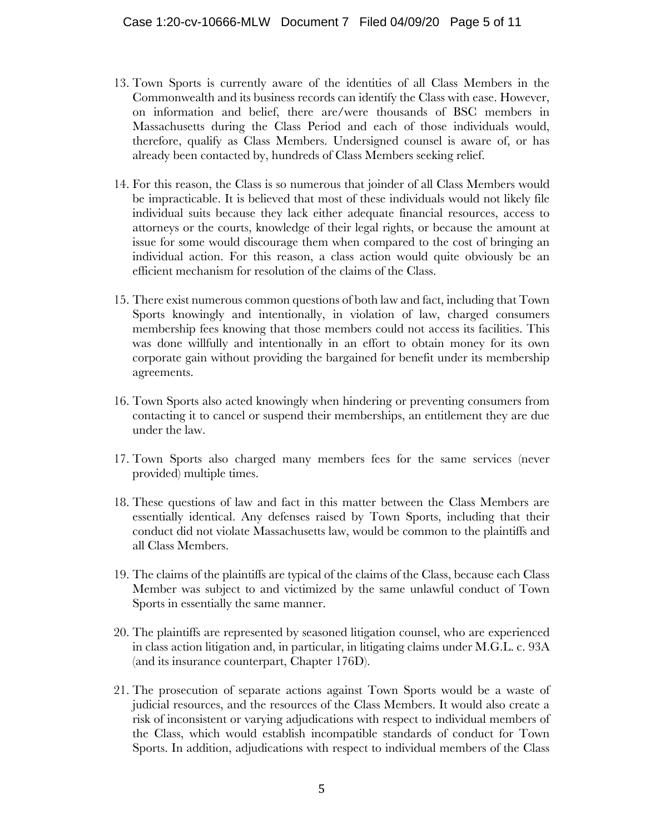- 13. Town Sports is currently aware of the identities of all Class Members in the Commonwealth and its business records can identify the Class with ease. However, on information and belief, there are/were thousands of BSC members in Massachusetts during the Class Period and each of those individuals would, therefore, qualify as Class Members. Undersigned counsel is aware of, or has already been contacted by, hundreds of Class Members seeking relief.
- 14. For this reason, the Class is so numerous that joinder of all Class Members would be impracticable. It is believed that most of these individuals would not likely file individual suits because they lack either adequate financial resources, access to attorneys or the courts, knowledge of their legal rights, or because the amount at issue for some would discourage them when compared to the cost of bringing an individual action. For this reason, a class action would quite obviously be an efficient mechanism for resolution of the claims of the Class.
- 15. There exist numerous common questions of both law and fact, including that Town Sports knowingly and intentionally, in violation of law, charged consumers membership fees knowing that those members could not access its facilities. This was done willfully and intentionally in an effort to obtain money for its own corporate gain without providing the bargained for benefit under its membership agreements.
- 16. Town Sports also acted knowingly when hindering or preventing consumers from contacting it to cancel or suspend their memberships, an entitlement they are due under the law.
- 17. Town Sports also charged many members fees for the same services (never provided) multiple times.
- 18. These questions of law and fact in this matter between the Class Members are essentially identical. Any defenses raised by Town Sports, including that their conduct did not violate Massachusetts law, would be common to the plaintiffs and all Class Members.
- 19. The claims of the plaintiffs are typical of the claims of the Class, because each Class Member was subject to and victimized by the same unlawful conduct of Town Sports in essentially the same manner.
- 20. The plaintiffs are represented by seasoned litigation counsel, who are experienced in class action litigation and, in particular, in litigating claims under M.G.L. c. 93A (and its insurance counterpart, Chapter 176D).
- 21. The prosecution of separate actions against Town Sports would be a waste of judicial resources, and the resources of the Class Members. It would also create a risk of inconsistent or varying adjudications with respect to individual members of the Class, which would establish incompatible standards of conduct for Town Sports. In addition, adjudications with respect to individual members of the Class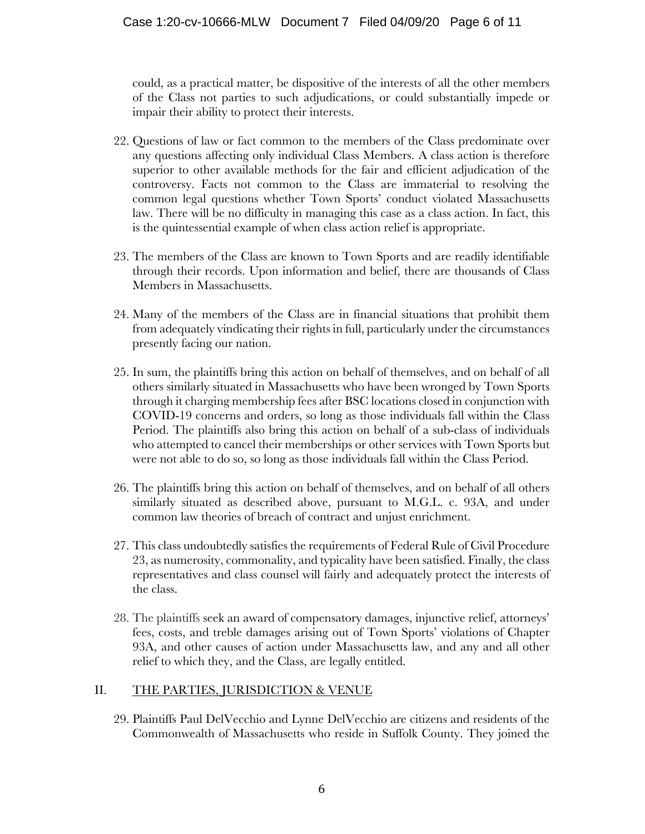could, as a practical matter, be dispositive of the interests of all the other members of the Class not parties to such adjudications, or could substantially impede or impair their ability to protect their interests.

- 22. Questions of law or fact common to the members of the Class predominate over any questions affecting only individual Class Members. A class action is therefore superior to other available methods for the fair and efficient adjudication of the controversy. Facts not common to the Class are immaterial to resolving the common legal questions whether Town Sports' conduct violated Massachusetts law. There will be no difficulty in managing this case as a class action. In fact, this is the quintessential example of when class action relief is appropriate.
- 23. The members of the Class are known to Town Sports and are readily identifiable through their records. Upon information and belief, there are thousands of Class Members in Massachusetts.
- 24. Many of the members of the Class are in financial situations that prohibit them from adequately vindicating their rights in full, particularly under the circumstances presently facing our nation.
- 25. In sum, the plaintiffs bring this action on behalf of themselves, and on behalf of all others similarly situated in Massachusetts who have been wronged by Town Sports through it charging membership fees after BSC locations closed in conjunction with COVID-19 concerns and orders, so long as those individuals fall within the Class Period. The plaintiffs also bring this action on behalf of a sub-class of individuals who attempted to cancel their memberships or other services with Town Sports but were not able to do so, so long as those individuals fall within the Class Period.
- 26. The plaintiffs bring this action on behalf of themselves, and on behalf of all others similarly situated as described above, pursuant to M.G.L. c. 93A, and under common law theories of breach of contract and unjust enrichment.
- 27. This class undoubtedly satisfies the requirements of Federal Rule of Civil Procedure 23, as numerosity, commonality, and typicality have been satisfied. Finally, the class representatives and class counsel will fairly and adequately protect the interests of the class.
- 28. The plaintiffs seek an award of compensatory damages, injunctive relief, attorneys' fees, costs, and treble damages arising out of Town Sports' violations of Chapter 93A, and other causes of action under Massachusetts law, and any and all other relief to which they, and the Class, are legally entitled.

# II. THE PARTIES, JURISDICTION & VENUE

29. Plaintiffs Paul DelVecchio and Lynne DelVecchio are citizens and residents of the Commonwealth of Massachusetts who reside in Suffolk County. They joined the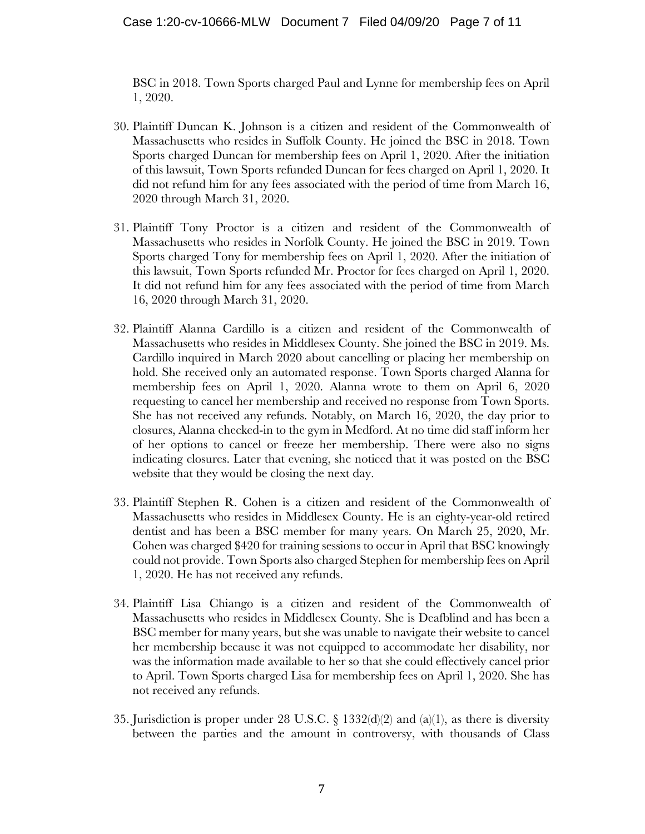BSC in 2018. Town Sports charged Paul and Lynne for membership fees on April 1, 2020.

- 30. Plaintiff Duncan K. Johnson is a citizen and resident of the Commonwealth of Massachusetts who resides in Suffolk County. He joined the BSC in 2018. Town Sports charged Duncan for membership fees on April 1, 2020. After the initiation of this lawsuit, Town Sports refunded Duncan for fees charged on April 1, 2020. It did not refund him for any fees associated with the period of time from March 16, 2020 through March 31, 2020.
- 31. Plaintiff Tony Proctor is a citizen and resident of the Commonwealth of Massachusetts who resides in Norfolk County. He joined the BSC in 2019. Town Sports charged Tony for membership fees on April 1, 2020. After the initiation of this lawsuit, Town Sports refunded Mr. Proctor for fees charged on April 1, 2020. It did not refund him for any fees associated with the period of time from March 16, 2020 through March 31, 2020.
- 32. Plaintiff Alanna Cardillo is a citizen and resident of the Commonwealth of Massachusetts who resides in Middlesex County. She joined the BSC in 2019. Ms. Cardillo inquired in March 2020 about cancelling or placing her membership on hold. She received only an automated response. Town Sports charged Alanna for membership fees on April 1, 2020. Alanna wrote to them on April 6, 2020 requesting to cancel her membership and received no response from Town Sports. She has not received any refunds. Notably, on March 16, 2020, the day prior to closures, Alanna checked-in to the gym in Medford. At no time did staff inform her of her options to cancel or freeze her membership. There were also no signs indicating closures. Later that evening, she noticed that it was posted on the BSC website that they would be closing the next day.
- 33. Plaintiff Stephen R. Cohen is a citizen and resident of the Commonwealth of Massachusetts who resides in Middlesex County. He is an eighty-year-old retired dentist and has been a BSC member for many years. On March 25, 2020, Mr. Cohen was charged \$420 for training sessions to occur in April that BSC knowingly could not provide. Town Sports also charged Stephen for membership fees on April 1, 2020. He has not received any refunds.
- 34. Plaintiff Lisa Chiango is a citizen and resident of the Commonwealth of Massachusetts who resides in Middlesex County. She is Deafblind and has been a BSC member for many years, but she was unable to navigate their website to cancel her membership because it was not equipped to accommodate her disability, nor was the information made available to her so that she could effectively cancel prior to April. Town Sports charged Lisa for membership fees on April 1, 2020. She has not received any refunds.
- 35. Jurisdiction is proper under 28 U.S.C. § 1332(d)(2) and (a)(1), as there is diversity between the parties and the amount in controversy, with thousands of Class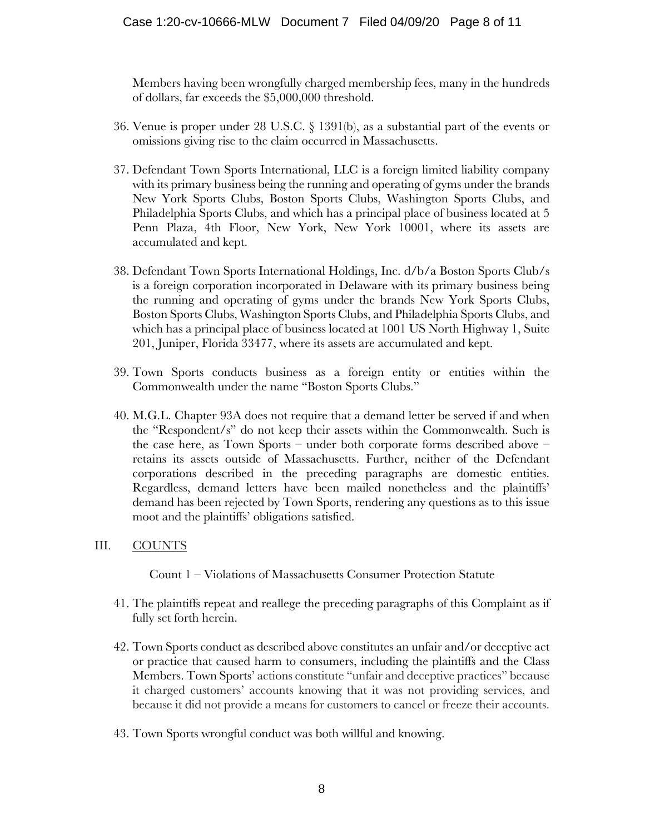Members having been wrongfully charged membership fees, many in the hundreds of dollars, far exceeds the \$5,000,000 threshold.

- 36. Venue is proper under 28 U.S.C. § 1391(b), as a substantial part of the events or omissions giving rise to the claim occurred in Massachusetts.
- 37. Defendant Town Sports International, LLC is a foreign limited liability company with its primary business being the running and operating of gyms under the brands New York Sports Clubs, Boston Sports Clubs, Washington Sports Clubs, and Philadelphia Sports Clubs, and which has a principal place of business located at 5 Penn Plaza, 4th Floor, New York, New York 10001, where its assets are accumulated and kept.
- 38. Defendant Town Sports International Holdings, Inc. d/b/a Boston Sports Club/s is a foreign corporation incorporated in Delaware with its primary business being the running and operating of gyms under the brands New York Sports Clubs, Boston Sports Clubs, Washington Sports Clubs, and Philadelphia Sports Clubs, and which has a principal place of business located at 1001 US North Highway 1, Suite 201, Juniper, Florida 33477, where its assets are accumulated and kept.
- 39. Town Sports conducts business as a foreign entity or entities within the Commonwealth under the name "Boston Sports Clubs."
- 40. M.G.L. Chapter 93A does not require that a demand letter be served if and when the "Respondent/s" do not keep their assets within the Commonwealth. Such is the case here, as Town Sports – under both corporate forms described above – retains its assets outside of Massachusetts. Further, neither of the Defendant corporations described in the preceding paragraphs are domestic entities. Regardless, demand letters have been mailed nonetheless and the plaintiffs' demand has been rejected by Town Sports, rendering any questions as to this issue moot and the plaintiffs' obligations satisfied.

# III. COUNTS

Count 1 – Violations of Massachusetts Consumer Protection Statute

- 41. The plaintiffs repeat and reallege the preceding paragraphs of this Complaint as if fully set forth herein.
- 42. Town Sports conduct as described above constitutes an unfair and/or deceptive act or practice that caused harm to consumers, including the plaintiffs and the Class Members. Town Sports' actions constitute "unfair and deceptive practices" because it charged customers' accounts knowing that it was not providing services, and because it did not provide a means for customers to cancel or freeze their accounts.
- 43. Town Sports wrongful conduct was both willful and knowing.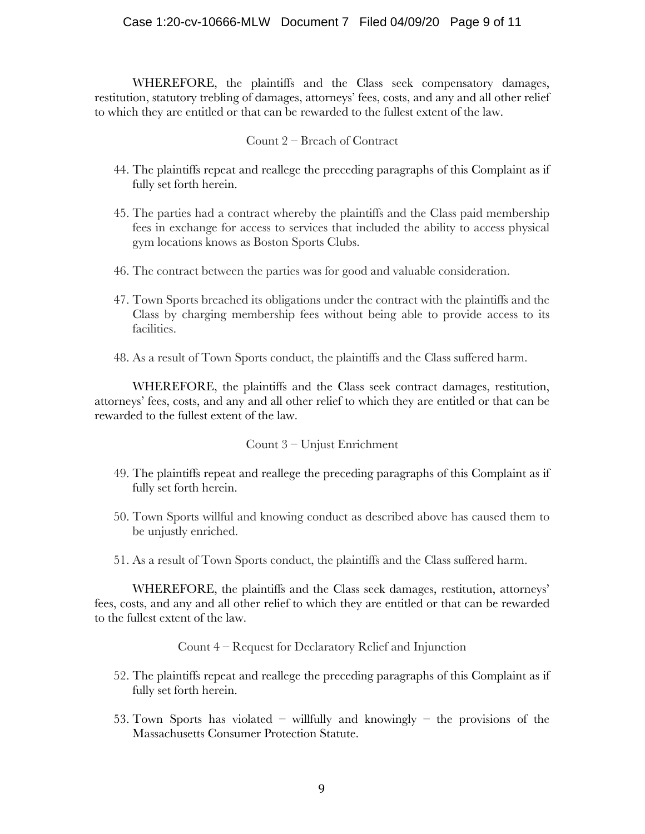#### Case 1:20-cv-10666-MLW Document 7 Filed 04/09/20 Page 9 of 11

WHEREFORE, the plaintiffs and the Class seek compensatory damages, restitution, statutory trebling of damages, attorneys' fees, costs, and any and all other relief to which they are entitled or that can be rewarded to the fullest extent of the law.

#### Count 2 – Breach of Contract

- 44. The plaintiffs repeat and reallege the preceding paragraphs of this Complaint as if fully set forth herein.
- 45. The parties had a contract whereby the plaintiffs and the Class paid membership fees in exchange for access to services that included the ability to access physical gym locations knows as Boston Sports Clubs.
- 46. The contract between the parties was for good and valuable consideration.
- 47. Town Sports breached its obligations under the contract with the plaintiffs and the Class by charging membership fees without being able to provide access to its facilities.
- 48. As a result of Town Sports conduct, the plaintiffs and the Class suffered harm.

WHEREFORE, the plaintiffs and the Class seek contract damages, restitution, attorneys' fees, costs, and any and all other relief to which they are entitled or that can be rewarded to the fullest extent of the law.

#### Count 3 – Unjust Enrichment

- 49. The plaintiffs repeat and reallege the preceding paragraphs of this Complaint as if fully set forth herein.
- 50. Town Sports willful and knowing conduct as described above has caused them to be unjustly enriched.
- 51. As a result of Town Sports conduct, the plaintiffs and the Class suffered harm.

WHEREFORE, the plaintiffs and the Class seek damages, restitution, attorneys' fees, costs, and any and all other relief to which they are entitled or that can be rewarded to the fullest extent of the law.

Count 4 – Request for Declaratory Relief and Injunction

- 52. The plaintiffs repeat and reallege the preceding paragraphs of this Complaint as if fully set forth herein.
- 53. Town Sports has violated willfully and knowingly the provisions of the Massachusetts Consumer Protection Statute.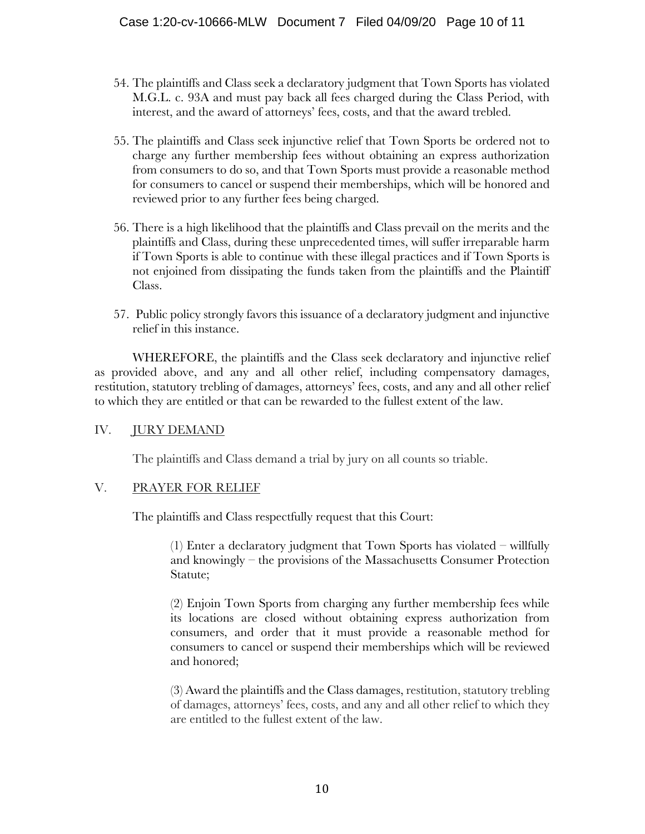- 54. The plaintiffs and Class seek a declaratory judgment that Town Sports has violated M.G.L. c. 93A and must pay back all fees charged during the Class Period, with interest, and the award of attorneys' fees, costs, and that the award trebled.
- 55. The plaintiffs and Class seek injunctive relief that Town Sports be ordered not to charge any further membership fees without obtaining an express authorization from consumers to do so, and that Town Sports must provide a reasonable method for consumers to cancel or suspend their memberships, which will be honored and reviewed prior to any further fees being charged.
- 56. There is a high likelihood that the plaintiffs and Class prevail on the merits and the plaintiffs and Class, during these unprecedented times, will suffer irreparable harm if Town Sports is able to continue with these illegal practices and if Town Sports is not enjoined from dissipating the funds taken from the plaintiffs and the Plaintiff Class.
- 57. Public policy strongly favors this issuance of a declaratory judgment and injunctive relief in this instance.

WHEREFORE, the plaintiffs and the Class seek declaratory and injunctive relief as provided above, and any and all other relief, including compensatory damages, restitution, statutory trebling of damages, attorneys' fees, costs, and any and all other relief to which they are entitled or that can be rewarded to the fullest extent of the law.

# IV. JURY DEMAND

The plaintiffs and Class demand a trial by jury on all counts so triable.

# V. PRAYER FOR RELIEF

The plaintiffs and Class respectfully request that this Court:

(1) Enter a declaratory judgment that Town Sports has violated – willfully and knowingly – the provisions of the Massachusetts Consumer Protection Statute;

(2) Enjoin Town Sports from charging any further membership fees while its locations are closed without obtaining express authorization from consumers, and order that it must provide a reasonable method for consumers to cancel or suspend their memberships which will be reviewed and honored;

(3) Award the plaintiffs and the Class damages, restitution, statutory trebling of damages, attorneys' fees, costs, and any and all other relief to which they are entitled to the fullest extent of the law.